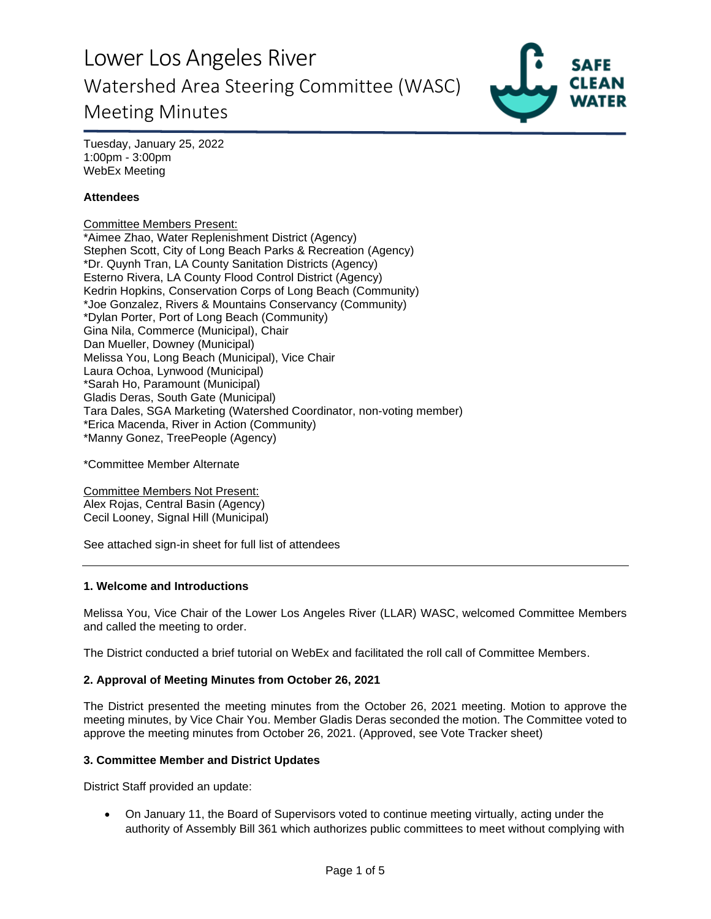

Tuesday, January 25, 2022 1:00pm - 3:00pm WebEx Meeting

## **Attendees**

Committee Members Present: \*Aimee Zhao, Water Replenishment District (Agency) Stephen Scott, City of Long Beach Parks & Recreation (Agency) \*Dr. Quynh Tran, LA County Sanitation Districts (Agency) Esterno Rivera, LA County Flood Control District (Agency) Kedrin Hopkins, Conservation Corps of Long Beach (Community) \*Joe Gonzalez, Rivers & Mountains Conservancy (Community) \*Dylan Porter, Port of Long Beach (Community) Gina Nila, Commerce (Municipal), Chair Dan Mueller, Downey (Municipal) Melissa You, Long Beach (Municipal), Vice Chair Laura Ochoa, Lynwood (Municipal) \*Sarah Ho, Paramount (Municipal) Gladis Deras, South Gate (Municipal) Tara Dales, SGA Marketing (Watershed Coordinator, non-voting member) \*Erica Macenda, River in Action (Community) \*Manny Gonez, TreePeople (Agency)

\*Committee Member Alternate

Committee Members Not Present: Alex Rojas, Central Basin (Agency) Cecil Looney, Signal Hill (Municipal)

See attached sign-in sheet for full list of attendees

#### **1. Welcome and Introductions**

Melissa You, Vice Chair of the Lower Los Angeles River (LLAR) WASC, welcomed Committee Members and called the meeting to order.

The District conducted a brief tutorial on WebEx and facilitated the roll call of Committee Members.

#### **2. Approval of Meeting Minutes from October 26, 2021**

The District presented the meeting minutes from the October 26, 2021 meeting. Motion to approve the meeting minutes, by Vice Chair You. Member Gladis Deras seconded the motion. The Committee voted to approve the meeting minutes from October 26, 2021. (Approved, see Vote Tracker sheet)

#### **3. Committee Member and District Updates**

District Staff provided an update:

• On January 11, the Board of Supervisors voted to continue meeting virtually, acting under the authority of Assembly Bill 361 which authorizes public committees to meet without complying with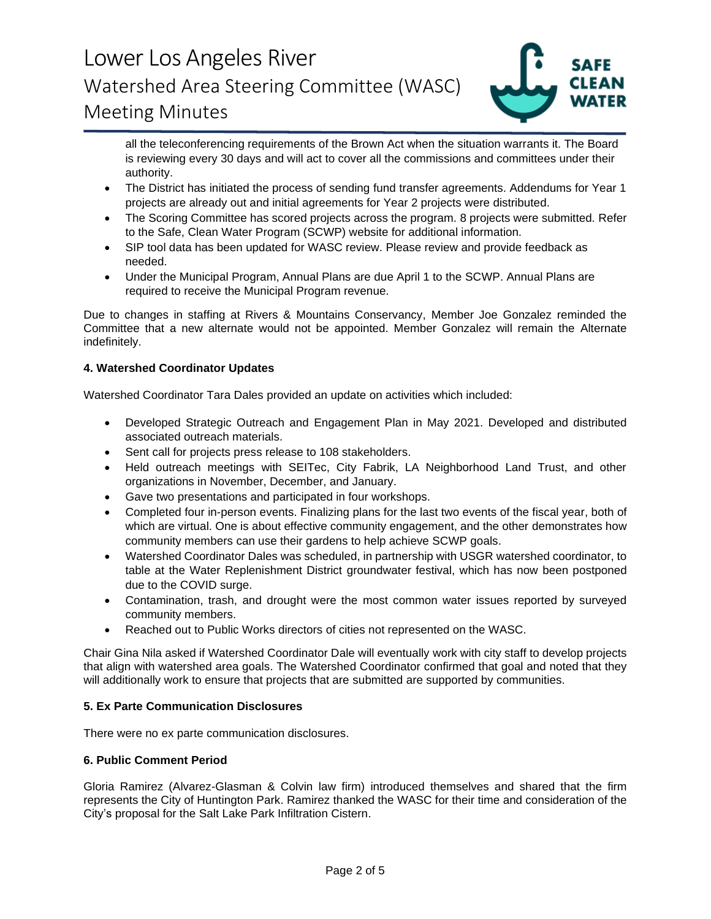

all the teleconferencing requirements of the Brown Act when the situation warrants it. The Board is reviewing every 30 days and will act to cover all the commissions and committees under their authority.

- The District has initiated the process of sending fund transfer agreements. Addendums for Year 1 projects are already out and initial agreements for Year 2 projects were distributed.
- The Scoring Committee has scored projects across the program. 8 projects were submitted. Refer to the Safe, Clean Water Program (SCWP) website for additional information.
- SIP tool data has been updated for WASC review. Please review and provide feedback as needed.
- Under the Municipal Program, Annual Plans are due April 1 to the SCWP. Annual Plans are required to receive the Municipal Program revenue.

Due to changes in staffing at Rivers & Mountains Conservancy, Member Joe Gonzalez reminded the Committee that a new alternate would not be appointed. Member Gonzalez will remain the Alternate indefinitely.

### **4. Watershed Coordinator Updates**

Watershed Coordinator Tara Dales provided an update on activities which included:

- Developed Strategic Outreach and Engagement Plan in May 2021. Developed and distributed associated outreach materials.
- Sent call for projects press release to 108 stakeholders.
- Held outreach meetings with SEITec, City Fabrik, LA Neighborhood Land Trust, and other organizations in November, December, and January.
- Gave two presentations and participated in four workshops.
- Completed four in-person events. Finalizing plans for the last two events of the fiscal year, both of which are virtual. One is about effective community engagement, and the other demonstrates how community members can use their gardens to help achieve SCWP goals.
- Watershed Coordinator Dales was scheduled, in partnership with USGR watershed coordinator, to table at the Water Replenishment District groundwater festival, which has now been postponed due to the COVID surge.
- Contamination, trash, and drought were the most common water issues reported by surveyed community members.
- Reached out to Public Works directors of cities not represented on the WASC.

Chair Gina Nila asked if Watershed Coordinator Dale will eventually work with city staff to develop projects that align with watershed area goals. The Watershed Coordinator confirmed that goal and noted that they will additionally work to ensure that projects that are submitted are supported by communities.

### **5. Ex Parte Communication Disclosures**

There were no ex parte communication disclosures.

### **6. Public Comment Period**

Gloria Ramirez (Alvarez-Glasman & Colvin law firm) introduced themselves and shared that the firm represents the City of Huntington Park. Ramirez thanked the WASC for their time and consideration of the City's proposal for the Salt Lake Park Infiltration Cistern.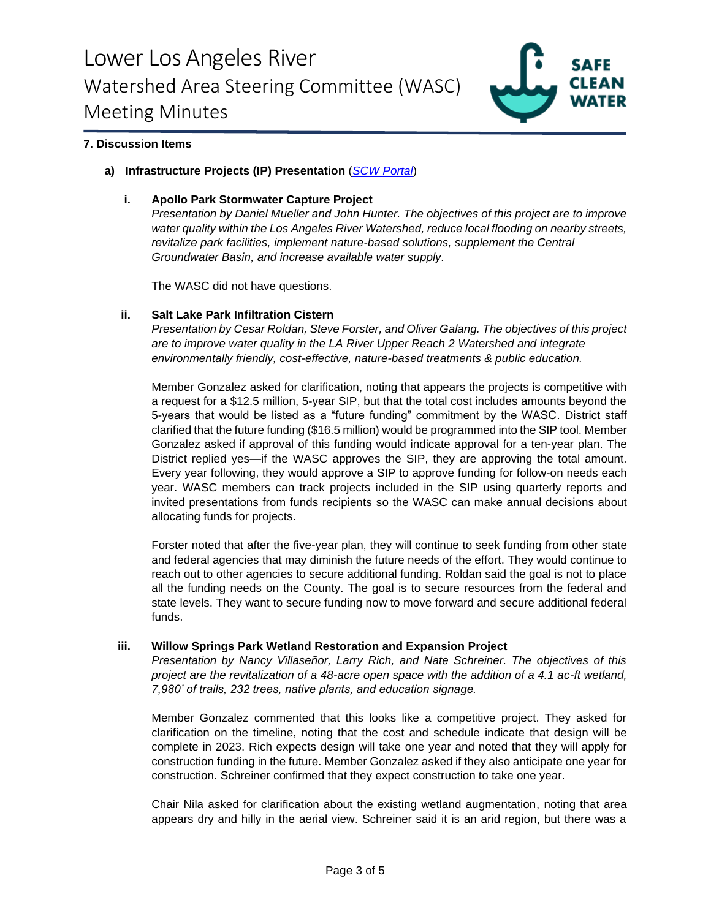

## **7. Discussion Items**

#### **a) Infrastructure Projects (IP) Presentation** (*[SCW Portal](https://portal.safecleanwaterla.org/scw-reporting/dashboard)*)

#### **i. Apollo Park Stormwater Capture Project**

*Presentation by Daniel Mueller and John Hunter. The objectives of this project are to improve water quality within the Los Angeles River Watershed, reduce local flooding on nearby streets, revitalize park facilities, implement nature-based solutions, supplement the Central Groundwater Basin, and increase available water supply.*

The WASC did not have questions.

#### **ii. Salt Lake Park Infiltration Cistern**

*Presentation by Cesar Roldan, Steve Forster, and Oliver Galang. The objectives of this project are to improve water quality in the LA River Upper Reach 2 Watershed and integrate environmentally friendly, cost-effective, nature-based treatments & public education.*

Member Gonzalez asked for clarification, noting that appears the projects is competitive with a request for a \$12.5 million, 5-year SIP, but that the total cost includes amounts beyond the 5-years that would be listed as a "future funding" commitment by the WASC. District staff clarified that the future funding (\$16.5 million) would be programmed into the SIP tool. Member Gonzalez asked if approval of this funding would indicate approval for a ten-year plan. The District replied yes—if the WASC approves the SIP, they are approving the total amount. Every year following, they would approve a SIP to approve funding for follow-on needs each year. WASC members can track projects included in the SIP using quarterly reports and invited presentations from funds recipients so the WASC can make annual decisions about allocating funds for projects.

Forster noted that after the five-year plan, they will continue to seek funding from other state and federal agencies that may diminish the future needs of the effort. They would continue to reach out to other agencies to secure additional funding. Roldan said the goal is not to place all the funding needs on the County. The goal is to secure resources from the federal and state levels. They want to secure funding now to move forward and secure additional federal funds.

#### **iii. Willow Springs Park Wetland Restoration and Expansion Project**

*Presentation by Nancy Villaseñor, Larry Rich, and Nate Schreiner. The objectives of this project are the revitalization of a 48-acre open space with the addition of a 4.1 ac-ft wetland, 7,980' of trails, 232 trees, native plants, and education signage.*

Member Gonzalez commented that this looks like a competitive project. They asked for clarification on the timeline, noting that the cost and schedule indicate that design will be complete in 2023. Rich expects design will take one year and noted that they will apply for construction funding in the future. Member Gonzalez asked if they also anticipate one year for construction. Schreiner confirmed that they expect construction to take one year.

Chair Nila asked for clarification about the existing wetland augmentation, noting that area appears dry and hilly in the aerial view. Schreiner said it is an arid region, but there was a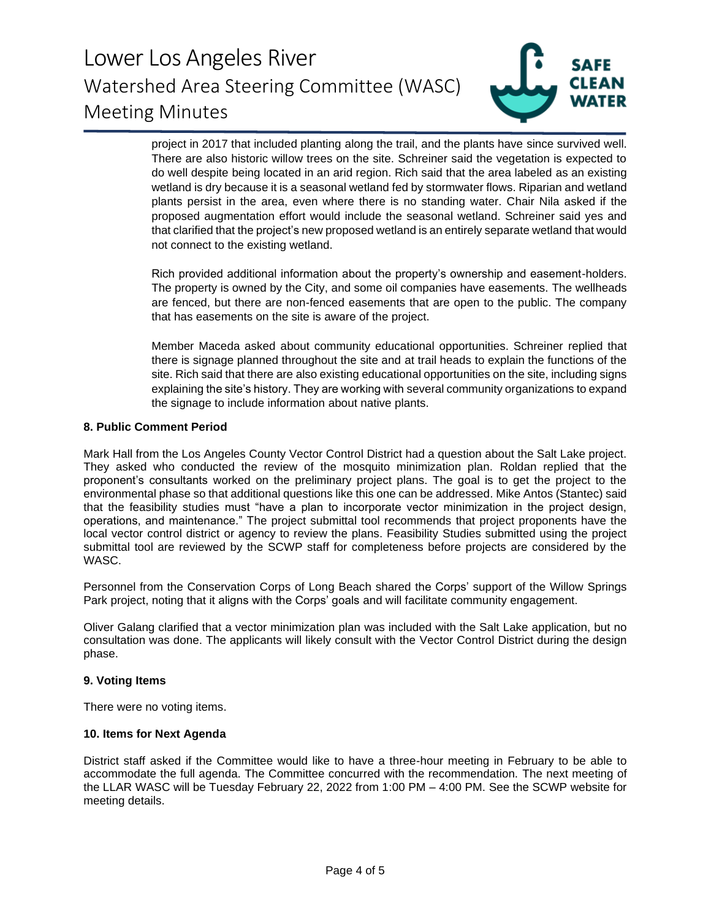

project in 2017 that included planting along the trail, and the plants have since survived well. There are also historic willow trees on the site. Schreiner said the vegetation is expected to do well despite being located in an arid region. Rich said that the area labeled as an existing wetland is dry because it is a seasonal wetland fed by stormwater flows. Riparian and wetland plants persist in the area, even where there is no standing water. Chair Nila asked if the proposed augmentation effort would include the seasonal wetland. Schreiner said yes and that clarified that the project's new proposed wetland is an entirely separate wetland that would not connect to the existing wetland.

Rich provided additional information about the property's ownership and easement-holders. The property is owned by the City, and some oil companies have easements. The wellheads are fenced, but there are non-fenced easements that are open to the public. The company that has easements on the site is aware of the project.

Member Maceda asked about community educational opportunities. Schreiner replied that there is signage planned throughout the site and at trail heads to explain the functions of the site. Rich said that there are also existing educational opportunities on the site, including signs explaining the site's history. They are working with several community organizations to expand the signage to include information about native plants.

#### **8. Public Comment Period**

Mark Hall from the Los Angeles County Vector Control District had a question about the Salt Lake project. They asked who conducted the review of the mosquito minimization plan. Roldan replied that the proponent's consultants worked on the preliminary project plans. The goal is to get the project to the environmental phase so that additional questions like this one can be addressed. Mike Antos (Stantec) said that the feasibility studies must "have a plan to incorporate vector minimization in the project design, operations, and maintenance." The project submittal tool recommends that project proponents have the local vector control district or agency to review the plans. Feasibility Studies submitted using the project submittal tool are reviewed by the SCWP staff for completeness before projects are considered by the WASC.

Personnel from the Conservation Corps of Long Beach shared the Corps' support of the Willow Springs Park project, noting that it aligns with the Corps' goals and will facilitate community engagement.

Oliver Galang clarified that a vector minimization plan was included with the Salt Lake application, but no consultation was done. The applicants will likely consult with the Vector Control District during the design phase.

### **9. Voting Items**

There were no voting items.

### **10. Items for Next Agenda**

District staff asked if the Committee would like to have a three-hour meeting in February to be able to accommodate the full agenda. The Committee concurred with the recommendation. The next meeting of the LLAR WASC will be Tuesday February 22, 2022 from 1:00 PM – 4:00 PM. See the SCWP website for meeting details.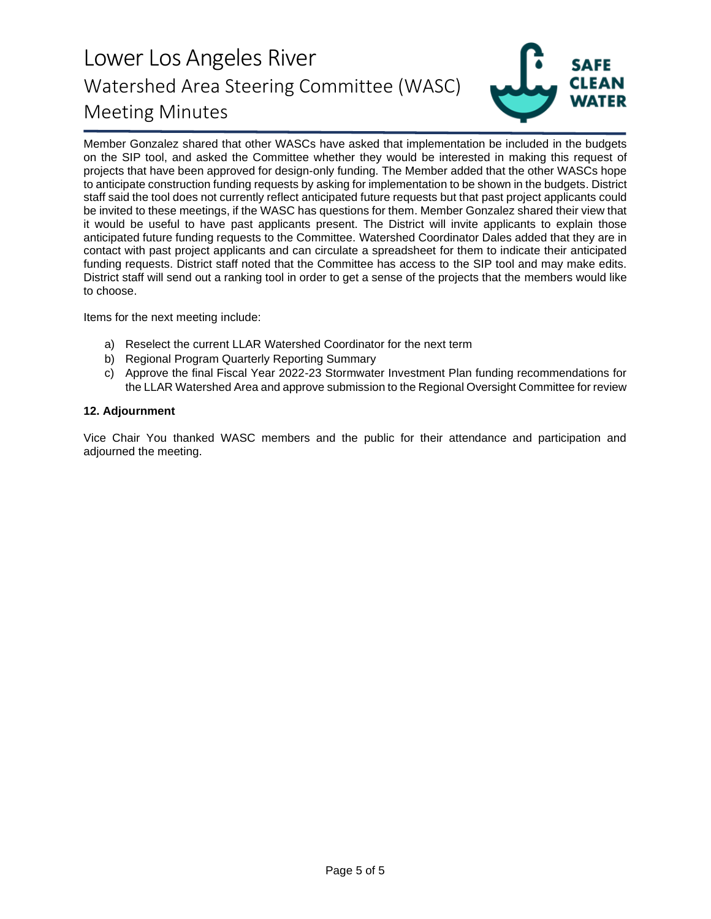

Member Gonzalez shared that other WASCs have asked that implementation be included in the budgets on the SIP tool, and asked the Committee whether they would be interested in making this request of projects that have been approved for design-only funding. The Member added that the other WASCs hope to anticipate construction funding requests by asking for implementation to be shown in the budgets. District staff said the tool does not currently reflect anticipated future requests but that past project applicants could be invited to these meetings, if the WASC has questions for them. Member Gonzalez shared their view that it would be useful to have past applicants present. The District will invite applicants to explain those anticipated future funding requests to the Committee. Watershed Coordinator Dales added that they are in contact with past project applicants and can circulate a spreadsheet for them to indicate their anticipated funding requests. District staff noted that the Committee has access to the SIP tool and may make edits. District staff will send out a ranking tool in order to get a sense of the projects that the members would like to choose.

Items for the next meeting include:

- a) Reselect the current LLAR Watershed Coordinator for the next term
- b) Regional Program Quarterly Reporting Summary
- c) Approve the final Fiscal Year 2022-23 Stormwater Investment Plan funding recommendations for the LLAR Watershed Area and approve submission to the Regional Oversight Committee for review

#### **12. Adjournment**

Vice Chair You thanked WASC members and the public for their attendance and participation and adjourned the meeting.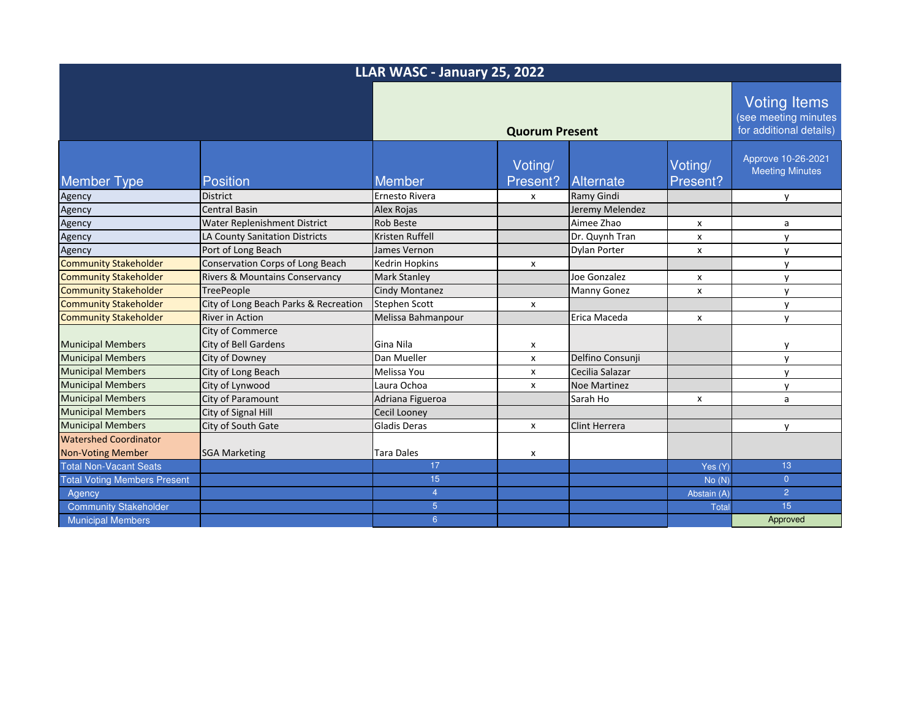| LLAR WASC - January 25, 2022        |                                                 |                       |                     |                      |                           |                                                                        |
|-------------------------------------|-------------------------------------------------|-----------------------|---------------------|----------------------|---------------------------|------------------------------------------------------------------------|
|                                     |                                                 | <b>Quorum Present</b> |                     |                      |                           | <b>Voting Items</b><br>(see meeting minutes<br>for additional details) |
| <b>Member Type</b>                  | <b>Position</b>                                 | Member                | Voting/<br>Present? | <b>Alternate</b>     | Voting/<br>Present?       | Approve 10-26-2021<br><b>Meeting Minutes</b>                           |
| Agency                              | <b>District</b>                                 | Ernesto Rivera        | x                   | Ramy Gindi           |                           | v                                                                      |
| Agency                              | <b>Central Basin</b>                            | Alex Rojas            |                     | Jeremy Melendez      |                           |                                                                        |
| Agency                              | Water Replenishment District                    | <b>Rob Beste</b>      |                     | Aimee Zhao           | x                         | a                                                                      |
| Agency                              | <b>LA County Sanitation Districts</b>           | Kristen Ruffell       |                     | Dr. Quynh Tran       | x                         | y                                                                      |
| Agency                              | Port of Long Beach                              | James Vernon          |                     | Dylan Porter         | X                         | y                                                                      |
| <b>Community Stakeholder</b>        | Conservation Corps of Long Beach                | <b>Kedrin Hopkins</b> | x                   |                      |                           | y                                                                      |
| <b>Community Stakeholder</b>        | Rivers & Mountains Conservancy                  | <b>Mark Stanley</b>   |                     | Joe Gonzalez         | x                         | $\mathsf{v}$                                                           |
| <b>Community Stakeholder</b>        | <b>TreePeople</b>                               | Cindy Montanez        |                     | <b>Manny Gonez</b>   | $\boldsymbol{\mathsf{x}}$ | $\mathsf{v}$                                                           |
| <b>Community Stakeholder</b>        | City of Long Beach Parks & Recreation           | <b>Stephen Scott</b>  | x                   |                      |                           | y                                                                      |
| <b>Community Stakeholder</b>        | <b>River in Action</b>                          | Melissa Bahmanpour    |                     | Erica Maceda         | X                         | y                                                                      |
| <b>Municipal Members</b>            | City of Commerce<br><b>City of Bell Gardens</b> | Gina Nila             | x                   |                      |                           | v                                                                      |
| <b>Municipal Members</b>            | City of Downey                                  | Dan Mueller           | x                   | Delfino Consunji     |                           | $\mathsf{V}$                                                           |
| <b>Municipal Members</b>            | City of Long Beach                              | Melissa You           | x                   | Cecilia Salazar      |                           | $\mathsf{v}$                                                           |
| <b>Municipal Members</b>            | City of Lynwood                                 | Laura Ochoa           | x                   | <b>Noe Martinez</b>  |                           | $\mathsf{v}$                                                           |
| <b>Municipal Members</b>            | City of Paramount                               | Adriana Figueroa      |                     | Sarah Ho             | x                         | a                                                                      |
| <b>Municipal Members</b>            | City of Signal Hill                             | Cecil Looney          |                     |                      |                           |                                                                        |
| <b>Municipal Members</b>            | City of South Gate                              | <b>Gladis Deras</b>   | x                   | <b>Clint Herrera</b> |                           | y                                                                      |
| <b>Watershed Coordinator</b>        |                                                 |                       |                     |                      |                           |                                                                        |
| <b>Non-Voting Member</b>            | <b>SGA Marketing</b>                            | Tara Dales            | X                   |                      |                           |                                                                        |
| <b>Total Non-Vacant Seats</b>       |                                                 | 17                    |                     |                      | Yes (Y)                   | 13                                                                     |
| <b>Total Voting Members Present</b> |                                                 | 15                    |                     |                      | No(N)                     | $\overline{0}$                                                         |
| Agency                              |                                                 | $\overline{4}$        |                     |                      | Abstain (A)               | $\overline{2}$                                                         |
| <b>Community Stakeholder</b>        |                                                 | 5 <sup>5</sup>        |                     |                      | <b>Total</b>              | 15                                                                     |
| <b>Municipal Members</b>            |                                                 | 6 <sup>°</sup>        |                     |                      |                           | Approved                                                               |